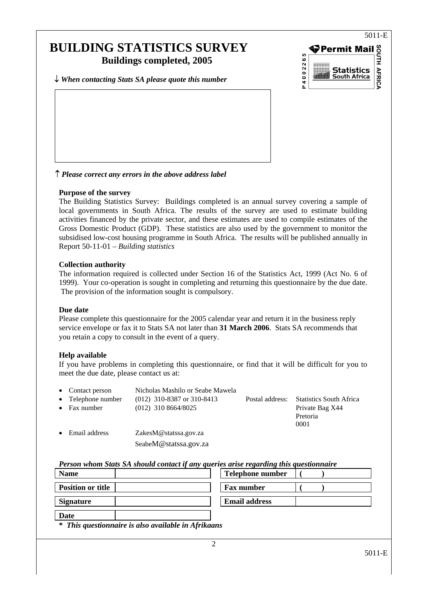# **BUILDING STATISTICS SURVEY Buildings completed, 2005**

↓ *When contacting Stats SA please quote this number*



↑ *Please correct any errors in the above address label* 

### **Purpose of the survey**

The Building Statistics Survey: Buildings completed is an annual survey covering a sample of local governments in South Africa. The results of the survey are used to estimate building activities financed by the private sector, and these estimates are used to compile estimates of the Gross Domestic Product (GDP). These statistics are also used by the government to monitor the subsidised low-cost housing programme in South Africa. The results will be published annually in Report 50-11-01 – *Building statistics*

### **Collection authority**

The information required is collected under Section 16 of the Statistics Act, 1999 (Act No. 6 of 1999). Your co-operation is sought in completing and returning this questionnaire by the due date. The provision of the information sought is compulsory.

#### **Due date**

Please complete this questionnaire for the 2005 calendar year and return it in the business reply service envelope or fax it to Stats SA not later than **31 March 2006**. Stats SA recommends that you retain a copy to consult in the event of a query.

## **Help available**

If you have problems in completing this questionnaire, or find that it will be difficult for you to meet the due date, please contact us at:

|           | • Contact person   | Nicholas Mashilo or Seabe Mawela |                 |                                |
|-----------|--------------------|----------------------------------|-----------------|--------------------------------|
|           | • Telephone number | $(012)$ 310-8387 or 310-8413     | Postal address: | <b>Statistics South Africa</b> |
| $\bullet$ | Fax number         | $(012)$ 310 8664/8025            |                 | Private Bag X44                |
|           |                    |                                  |                 | Pretoria                       |
|           |                    |                                  |                 | 0001                           |
| $\bullet$ | Email address      | ZakesM@statssa.gov.za            |                 |                                |
|           |                    | SeabeM@statssa.gov.za            |                 |                                |

*Person whom Stats SA should contact if any queries arise regarding this questionnaire*

| <b>Name</b>                                         | <b>Telephone number</b> |  |
|-----------------------------------------------------|-------------------------|--|
| <b>Position or title</b>                            | <b>Fax number</b>       |  |
| <b>Signature</b>                                    | <b>Email address</b>    |  |
| Date                                                |                         |  |
| * This avestionnaire is also available in Afrikaans |                         |  |

**\*** *This questionnaire is also available in Afrikaans*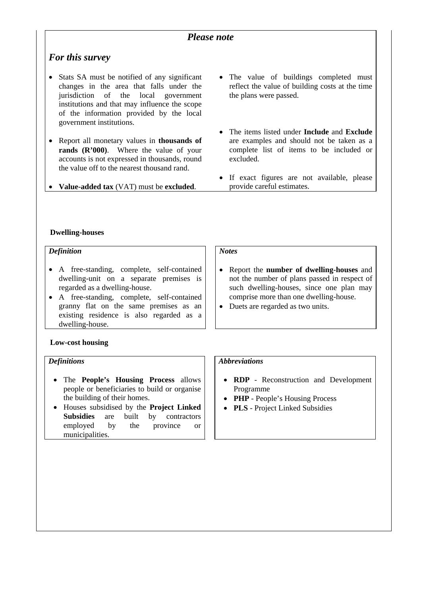## *Please note*

## *For this survey*

- Stats SA must be notified of any significant changes in the area that falls under the jurisdiction of the local government institutions and that may influence the scope of the information provided by the local government institutions.
- Report all monetary values in **thousands of rands (R'000)**. Where the value of your accounts is not expressed in thousands, round the value off to the nearest thousand rand.
- **Value-added tax** (VAT) must be **excluded**.
- The value of buildings completed must reflect the value of building costs at the time the plans were passed.
- The items listed under **Include** and **Exclude** are examples and should not be taken as a complete list of items to be included or excluded.
- If exact figures are not available, please provide careful estimates.

#### **Dwelling-houses**

### *Definition*

- A free-standing, complete, self-contained dwelling-unit on a separate premises is regarded as a dwelling-house.
- A free-standing, complete, self-contained granny flat on the same premises as an existing residence is also regarded as a dwelling-house.

## **Low-cost housing**

## *Definitions*

- The **People's Housing Process** allows people or beneficiaries to build or organise the building of their homes.
- Houses subsidised by the **Project Linked Subsidies** are built by contractors employed by the province or municipalities.

## *Notes*

- Report the **number of dwelling-houses** and not the number of plans passed in respect of such dwelling-houses, since one plan may comprise more than one dwelling-house.
- Duets are regarded as two units.

## *Abbreviations*

- **RDP** Reconstruction and Development Programme
- **PHP** People's Housing Process
- **PLS** Project Linked Subsidies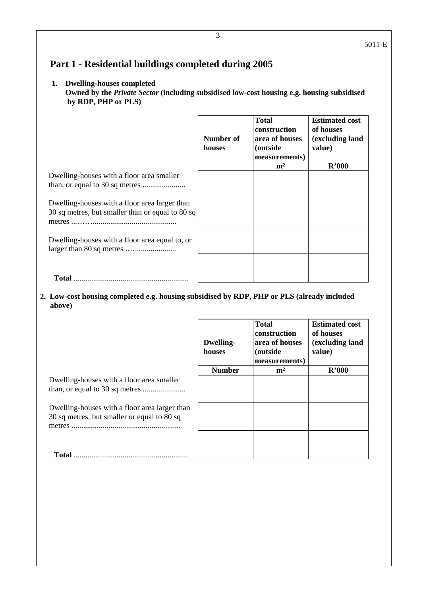## **Part 1 - Residential buildings completed during 2005**

## **1. Dwelling-houses completed**

 **Owned by the** *Private Sector* **(including subsidised low-cost housing e.g. housing subsidised by RDP, PHP or PLS)**

|                                                                                                   | Number of<br>houses | <b>Total</b><br>construction<br>area of houses<br>(outside<br>measurements)<br>m <sup>2</sup> | <b>Estimated cost</b><br>of houses<br>(excluding land<br>value)<br>R'000 |
|---------------------------------------------------------------------------------------------------|---------------------|-----------------------------------------------------------------------------------------------|--------------------------------------------------------------------------|
| Dwelling-houses with a floor area smaller                                                         |                     |                                                                                               |                                                                          |
|                                                                                                   |                     |                                                                                               |                                                                          |
| Dwelling-houses with a floor area larger than<br>30 sq metres, but smaller than or equal to 80 sq |                     |                                                                                               |                                                                          |
| Dwelling-houses with a floor area equal to, or                                                    |                     |                                                                                               |                                                                          |
|                                                                                                   |                     |                                                                                               |                                                                          |

**2. Low-cost housing completed e.g. housing subsidised by RDP, PHP or PLS (already included above)** 

|                                                                                                                                           | <b>Dwelling-</b><br>houses | <b>Total</b><br>construction<br>area of houses<br><i>(outside)</i><br>measurements) | <b>Estimated cost</b><br>of houses<br>(excluding land<br>value) |
|-------------------------------------------------------------------------------------------------------------------------------------------|----------------------------|-------------------------------------------------------------------------------------|-----------------------------------------------------------------|
|                                                                                                                                           | <b>Number</b>              | m <sup>2</sup>                                                                      | R'000                                                           |
| Dwelling-houses with a floor area smaller<br>Dwelling-houses with a floor area larger than<br>30 sq metres, but smaller or equal to 80 sq |                            |                                                                                     |                                                                 |
| <b>Total</b>                                                                                                                              |                            |                                                                                     |                                                                 |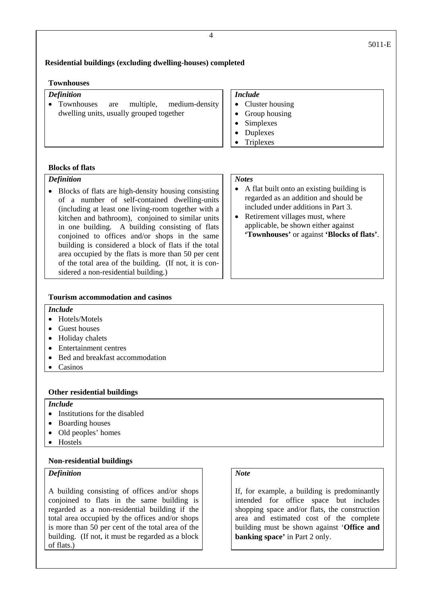## **Residential buildings (excluding dwelling-houses) completed**

#### **Townhouses**

#### *Definition*

• Townhouses are multiple, medium-density dwelling units, usually grouped together

#### *Include*

- Cluster housing
- Group housing
- Simplexes
- Duplexes
- **Triplexes**

### **Blocks of flats**

#### *Definition*

• Blocks of flats are high-density housing consisting of a number of self-contained dwelling-units (including at least one living-room together with a kitchen and bathroom), conjoined to similar units in one building. A building consisting of flats conjoined to offices and/or shops in the same building is considered a block of flats if the total area occupied by the flats is more than 50 per cent of the total area of the building. (If not, it is considered a non-residential building.)

#### *Notes*

- A flat built onto an existing building is regarded as an addition and should be included under additions in Part 3.
- Retirement villages must, where applicable, be shown either against **'Townhouses'** or against **'Blocks of flats'**.

#### **Tourism accommodation and casinos**

#### *Include*

- Hotels/Motels
- Guest houses
- Holiday chalets
- Entertainment centres
- Bed and breakfast accommodation
- Casinos

#### **Other residential buildings**

#### *Include*

- Institutions for the disabled
- Boarding houses
- Old peoples' homes
- Hostels

#### **Non-residential buildings**

#### *Definition*

A building consisting of offices and/or shops conjoined to flats in the same building is regarded as a non-residential building if the total area occupied by the offices and/or shops is more than 50 per cent of the total area of the building. (If not, it must be regarded as a block of flats.)

## *Note*

If, for example, a building is predominantly intended for office space but includes shopping space and/or flats, the construction area and estimated cost of the complete building must be shown against '**Office and banking space'** in Part 2 only.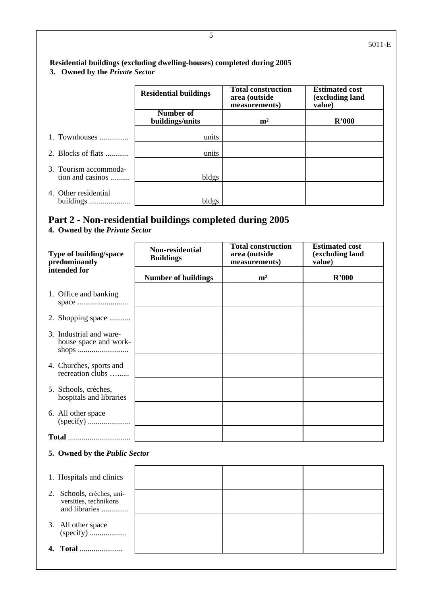## **Residential buildings (excluding dwelling-houses) completed during 2005 3. Owned by the** *Private Sector*

|                                           | <b>Residential buildings</b> | <b>Total construction</b><br>area (outside<br>measurements) | <b>Estimated cost</b><br>(excluding land<br>value) |
|-------------------------------------------|------------------------------|-------------------------------------------------------------|----------------------------------------------------|
|                                           | Number of<br>buildings/units | m <sup>2</sup>                                              | R'000                                              |
| 1. Townhouses                             | units                        |                                                             |                                                    |
| 2. Blocks of flats $\ldots$               | units                        |                                                             |                                                    |
| 3. Tourism accommoda-<br>tion and casinos | bldgs                        |                                                             |                                                    |
| 4. Other residential<br>buildings         | bldgs                        |                                                             |                                                    |

## **Part 2 - Non-residential buildings completed during 2005**

## **4. Owned by the** *Private Sector*

| Type of building/space<br>predominantly                                                                                                                                                                 | Non-residential<br><b>Buildings</b> | <b>Total construction</b><br>area (outside<br>measurements) | <b>Estimated cost</b><br>(excluding land<br>value) |  |  |
|---------------------------------------------------------------------------------------------------------------------------------------------------------------------------------------------------------|-------------------------------------|-------------------------------------------------------------|----------------------------------------------------|--|--|
| intended for                                                                                                                                                                                            | <b>Number of buildings</b>          | m <sup>2</sup>                                              | R'000                                              |  |  |
| 1. Office and banking                                                                                                                                                                                   |                                     |                                                             |                                                    |  |  |
| 2. Shopping space                                                                                                                                                                                       |                                     |                                                             |                                                    |  |  |
| 3. Industrial and ware-<br>house space and work-                                                                                                                                                        |                                     |                                                             |                                                    |  |  |
| 4. Churches, sports and<br>recreation clubs                                                                                                                                                             |                                     |                                                             |                                                    |  |  |
| 5. Schools, crèches,<br>hospitals and libraries                                                                                                                                                         |                                     |                                                             |                                                    |  |  |
| 6. All other space                                                                                                                                                                                      |                                     |                                                             |                                                    |  |  |
|                                                                                                                                                                                                         |                                     |                                                             |                                                    |  |  |
| 5. Owned by the Public Sector                                                                                                                                                                           |                                     |                                                             |                                                    |  |  |
| 1. Hospitals and clinics                                                                                                                                                                                |                                     |                                                             |                                                    |  |  |
| $\bigcap_{n=1}^{\infty}$ $\bigcap_{n=1}^{\infty}$ $\bigcap_{n=1}^{\infty}$ $\bigcap_{n=1}^{\infty}$ $\bigcap_{n=1}^{\infty}$ $\bigcap_{n=1}^{\infty}$ $\bigcap_{n=1}^{\infty}$ $\bigcap_{n=1}^{\infty}$ |                                     |                                                             |                                                    |  |  |

| 2. Schools, crèches, uni-<br>versities, technikons<br>and libraries |  |  |
|---------------------------------------------------------------------|--|--|
| 3. All other space                                                  |  |  |
| 4. Total                                                            |  |  |
|                                                                     |  |  |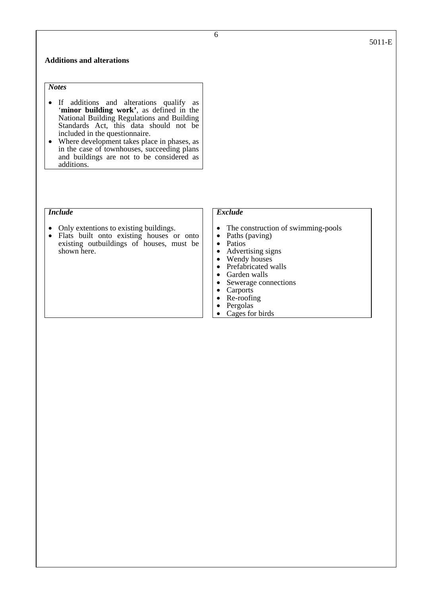#### **Additions and alterations**

*Notes* 

- If additions and alterations qualify as '**minor building work'**, as defined in the National Building Regulations and Building Standards Act, this data should not be included in the questionnaire.
- Where development takes place in phases, as in the case of townhouses, succeeding plans and buildings are not to be considered as additions.

#### *Include*

- Only extentions to existing buildings.
- Flats built onto existing houses or onto existing outbuildings of houses, must be shown here.

#### *Exclude*

- The construction of swimming-pools<br>• Paths (paying)
- Paths (paving)
- 
- Patios<br>• Advertising signs<br>• Wendy houses
- Wendy houses
- Prefabricated walls<br>• Garden walls<br>• Sewerage connectic
- 
- Sewerage connections<br>• Carports
- Carports<br>• Re-roofin
- Re-roofing
- Pergolas
- Cages for birds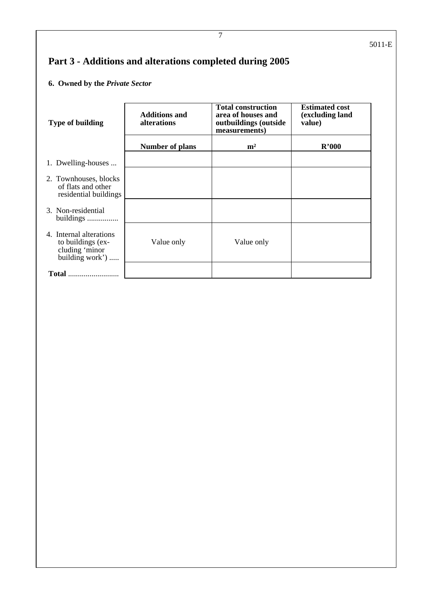# **Part 3 - Additions and alterations completed during 2005**

## **6. Owned by the** *Private Sector*

| <b>Type of building</b>                                                           | <b>Additions and</b><br>alterations | <b>Total construction</b><br>area of houses and<br>outbuildings (outside<br>measurements) | <b>Estimated cost</b><br>(excluding land<br>value) |
|-----------------------------------------------------------------------------------|-------------------------------------|-------------------------------------------------------------------------------------------|----------------------------------------------------|
|                                                                                   | <b>Number of plans</b>              | m <sup>2</sup>                                                                            | R'000                                              |
| 1. Dwelling-houses                                                                |                                     |                                                                                           |                                                    |
| 2. Townhouses, blocks<br>of flats and other<br>residential buildings              |                                     |                                                                                           |                                                    |
| 3. Non-residential<br>buildings                                                   |                                     |                                                                                           |                                                    |
| 4. Internal alterations<br>to buildings (ex-<br>cluding 'minor<br>building work') | Value only                          | Value only                                                                                |                                                    |
| <b>Total</b>                                                                      |                                     |                                                                                           |                                                    |